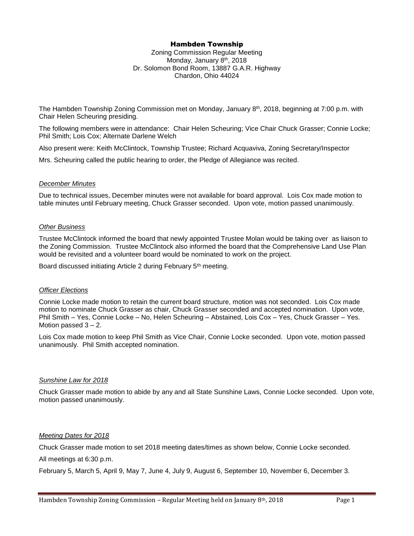# Hambden Township

Zoning Commission Regular Meeting Monday, January 8<sup>th</sup>, 2018 Dr. Solomon Bond Room, 13887 G.A.R. Highway Chardon, Ohio 44024

The Hambden Township Zoning Commission met on Monday, January 8<sup>th</sup>, 2018, beginning at 7:00 p.m. with Chair Helen Scheuring presiding.

The following members were in attendance: Chair Helen Scheuring; Vice Chair Chuck Grasser; Connie Locke; Phil Smith; Lois Cox; Alternate Darlene Welch

Also present were: Keith McClintock, Township Trustee; Richard Acquaviva, Zoning Secretary/Inspector

Mrs. Scheuring called the public hearing to order, the Pledge of Allegiance was recited.

### *December Minutes*

Due to technical issues, December minutes were not available for board approval. Lois Cox made motion to table minutes until February meeting, Chuck Grasser seconded. Upon vote, motion passed unanimously.

## *Other Business*

Trustee McClintock informed the board that newly appointed Trustee Molan would be taking over as liaison to the Zoning Commission. Trustee McClintock also informed the board that the Comprehensive Land Use Plan would be revisited and a volunteer board would be nominated to work on the project.

Board discussed initiating Article 2 during February 5<sup>th</sup> meeting.

## *Officer Elections*

Connie Locke made motion to retain the current board structure, motion was not seconded. Lois Cox made motion to nominate Chuck Grasser as chair, Chuck Grasser seconded and accepted nomination. Upon vote, Phil Smith – Yes, Connie Locke – No, Helen Scheuring – Abstained, Lois Cox – Yes, Chuck Grasser – Yes. Motion passed 3 – 2.

Lois Cox made motion to keep Phil Smith as Vice Chair, Connie Locke seconded. Upon vote, motion passed unanimously. Phil Smith accepted nomination.

### *Sunshine Law for 2018*

Chuck Grasser made motion to abide by any and all State Sunshine Laws, Connie Locke seconded. Upon vote, motion passed unanimously.

# *Meeting Dates for 2018*

Chuck Grasser made motion to set 2018 meeting dates/times as shown below, Connie Locke seconded. All meetings at 6:30 p.m.

February 5, March 5, April 9, May 7, June 4, July 9, August 6, September 10, November 6, December 3.